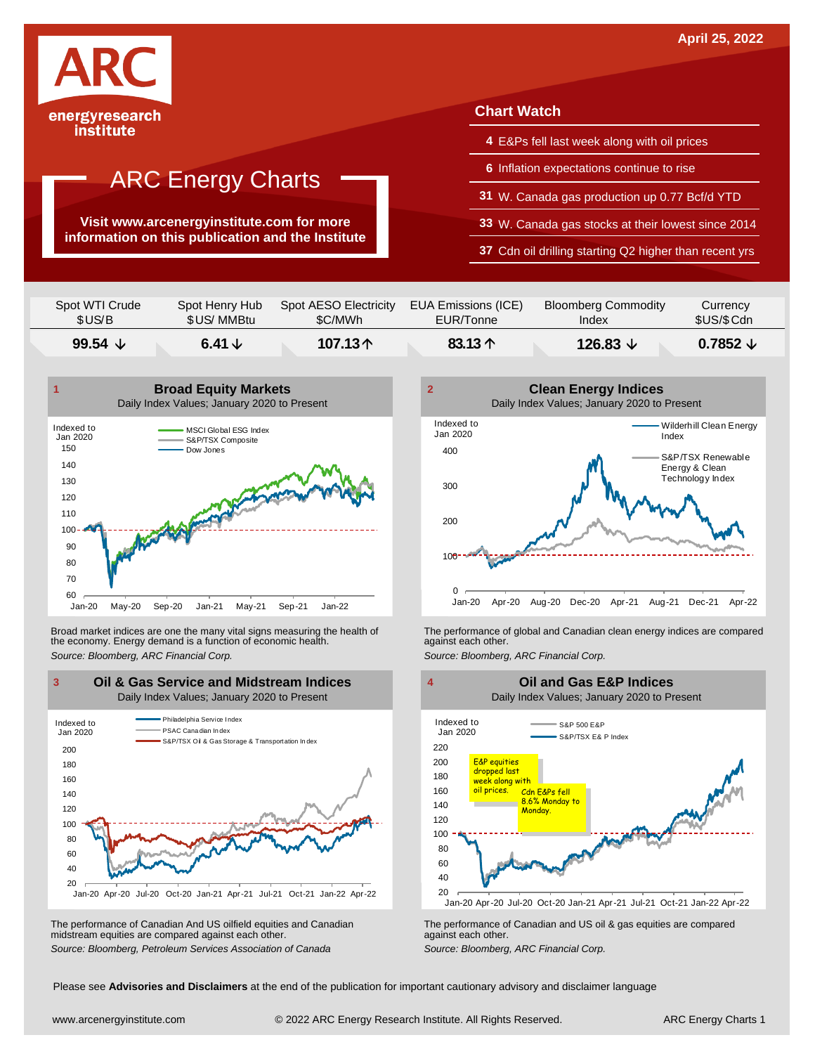

**Visit www.arcenergyinstitute.com for more information on this publication and the Institute**

## **Chart Watch**

- **4** E&Ps fell last week along with oil prices
- **6** Inflation expectations continue to rise
- **31** W. Canada gas production up 0.77 Bcf/d YTD
- **33** W. Canada gas stocks at their lowest since 2014
- **37** Cdn oil drilling starting Q2 higher than recent yrs

| \$US/B             | \$US/MMBtu      | \$C/MWh               | EUR/Tonne           | Index                      | \$US/\$Cdn          |
|--------------------|-----------------|-----------------------|---------------------|----------------------------|---------------------|
| 99.54 $\downarrow$ | 6.41 $\sqrt{ }$ | 107.13个               | 83.13 $\uparrow$    | 126.83 $\downarrow$        | $0.7852 \downarrow$ |
| Spot WTI Crude     | Spot Henry Hub  | Spot AESO Electricity | EUA Emissions (ICE) | <b>Bloomberg Commodity</b> | Currency            |



Broad market indices are one the many vital signs measuring the health of the economy. Energy demand is a function of economic health. Broad market indices are one the many vital signs measuring the health of The performance of global and Canadian clean energy indices are compared<br>the economy. Energy demand is a function of economic health.<br>Source: Bloomb



The performance of Canadian And US oilfield equities and Canadian midstream equities are compared against each other. The performance of Canadian And US oilfield equities and Canadian **Frank Constant Prank Constant Prank Constant**<br>The performance of Canadian and US oil & gas equities are compared<br>Source: Bloomberg, Petroleum Services Asso





Please see **Advisories and Disclaimers** at the end of the publication for important cautionary advisory and disclaimer language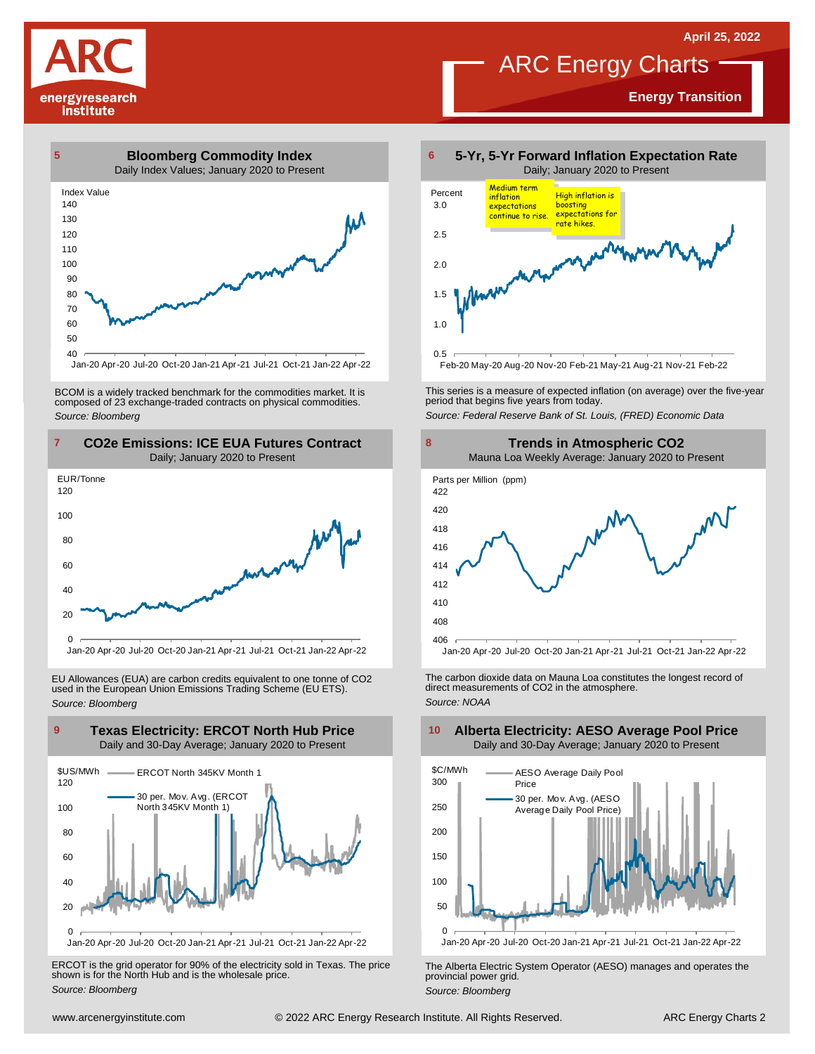**Energy Transition**





Jan-20 Apr-20 Jul-20 Oct-20 Jan-21 Apr-21 Jul-21 Oct-21 Jan-22 Apr-22

BCOM is <sup>a</sup> widely tracked benchmark for the commodities market. It is composed of <sup>23</sup> exchange-traded contracts on physical commodities. *Source: Bloomberg*



EU Allowances (EUA) are carbon credits equivalent to one tonne of CO2 used in the European Union Emissions Trading Scheme (EU ETS). *Source: Bloomberg*



Jan-20 Apr-20 Jul-20 Oct-20 Jan-21 Apr-21 Jul-21 Oct-21 Jan-22 Apr-22

ERCOT is the grid operator for 90% of the electricity sold in Texas. The price shown is for the North Hub and is the wholesale price. *Source: Bloomberg*



This series is <sup>a</sup> measure of expected inflation (on average) over the five-year period that begins five years from today. *Source: Federal Reserve Bank of St. Louis, (FRED) Economic Data*



The carbon dioxide data on Mauna Loa constitutes the longest record of direct measurements of CO2 in the atmosphere. *Source: NOAA*



The Alberta Electric System Operator (AESO) manages and operates the provincial power grid. *Source: Bloomberg*

#### **Texas Electricity: ERCOT North Hub Price 9 10 Alberta Electricity: AESO Average Pool Price** Daily and 30-Day Average; January 2020 to Present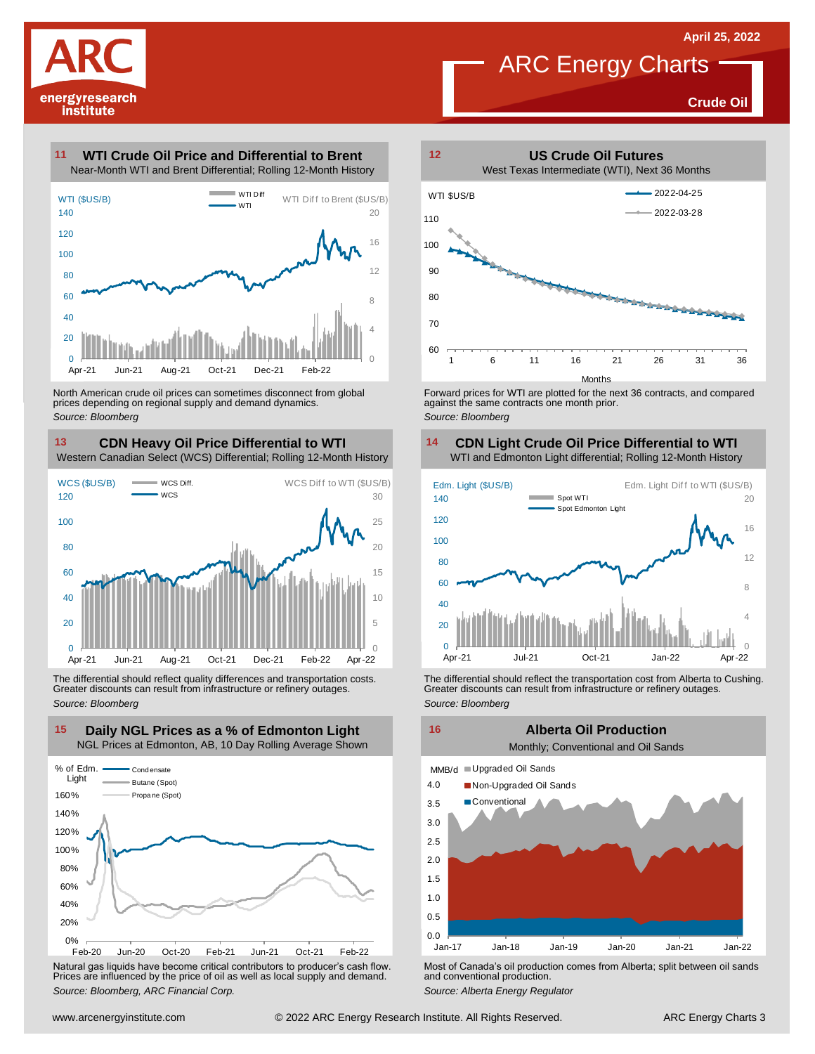

**Crude Oil**

#### **WTI Crude Oil Price and Differential to Brent 11**



North American crude oil prices can sometimes disconnect from global prices depending on regional supply and demand dynamics. *Source: Bloomberg*

#### **CDN Heavy Oil Price Differential to WTI 13 14** Western Canadian Select (WCS) Differential; Rolling 12-Month History

 $\Omega$ 5 10 15  $20$ 25 30  $\theta$ 20 40 60 80 100 120 Apr-21 Jun-21 Aug-21 Oct-21 Dec-21 Feb-22 Apr-22  $=$  WCS Diff. WCS **13 CDN Heavy Oil Price Differential to WTI**<br>Western Canadian Select (WCS) Differential; Rolling 12-Month History<br>WCS (\$US/B) was Diff. WCS Diff to WTI (\$US/B)<br>120 was

The differential should reflect quality differences and transportation costs. Greater discounts can result from infrastructure or refinery outages. *Source: Bloomberg*



Natural gas liquids have become critical contributors to producer's cash flow. Most of Canada's oil production comes from Alberta; split between oil sands<br>Prices are influenced by the price of oil as well as local supply a



Forward prices for WTI are plotted for the next 36 contracts, and compared against the same contracts one month prior. *Source: Bloomberg*

#### **CDN Light Crude Oil Price Differential to WTI** WTI and Edmonton Light differential; Rolling 12-Month History



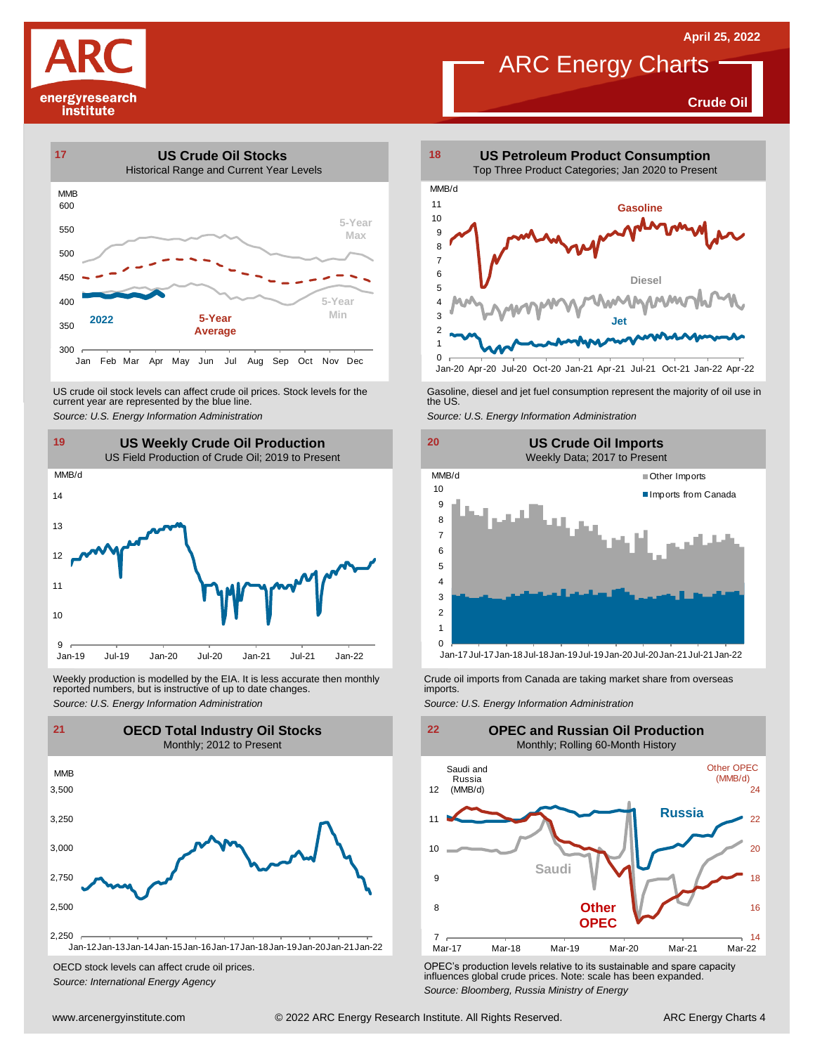**Crude Oil**

![](_page_3_Picture_3.jpeg)

![](_page_3_Figure_4.jpeg)

US crude oil stock levels can affect crude oil prices. Stock levels for the current year are represented by the blue line. US crude oil stock levels can affect crude oil prices. Stock levels for the Gasoline, diesel and jet fuel consumption represent the majority of oil use in<br>current year are represented by the blue line.<br>Source: U.S. Energy

![](_page_3_Figure_6.jpeg)

Weekly production is modelled by the EIA. It is less accurate then monthly Crude oil imports from Canada are taking market share from overseas<br>The imports in the more from overseas imports imports.<br>Source: U.S. Energy Info

![](_page_3_Figure_8.jpeg)

OECD stock levels can affect crude oil prices. *Source: International Energy Agency*

![](_page_3_Figure_10.jpeg)

Jan-20 Apr-20 Jul-20 Oct-20 Jan-21 Apr-21 Jul-21 Oct-21 Jan-22 Apr-22

![](_page_3_Figure_14.jpeg)

Jan-17Jul-17Jan-18Jul-18Jan-19Jul-19Jan-20Jul-20Jan-21Jul-21Jan-22

![](_page_3_Figure_18.jpeg)

OPEC's production levels relative to its sustainable and spare capacity influences global crude prices. Note: scale has been expanded. *Source: Bloomberg, Russia Ministry of Energy*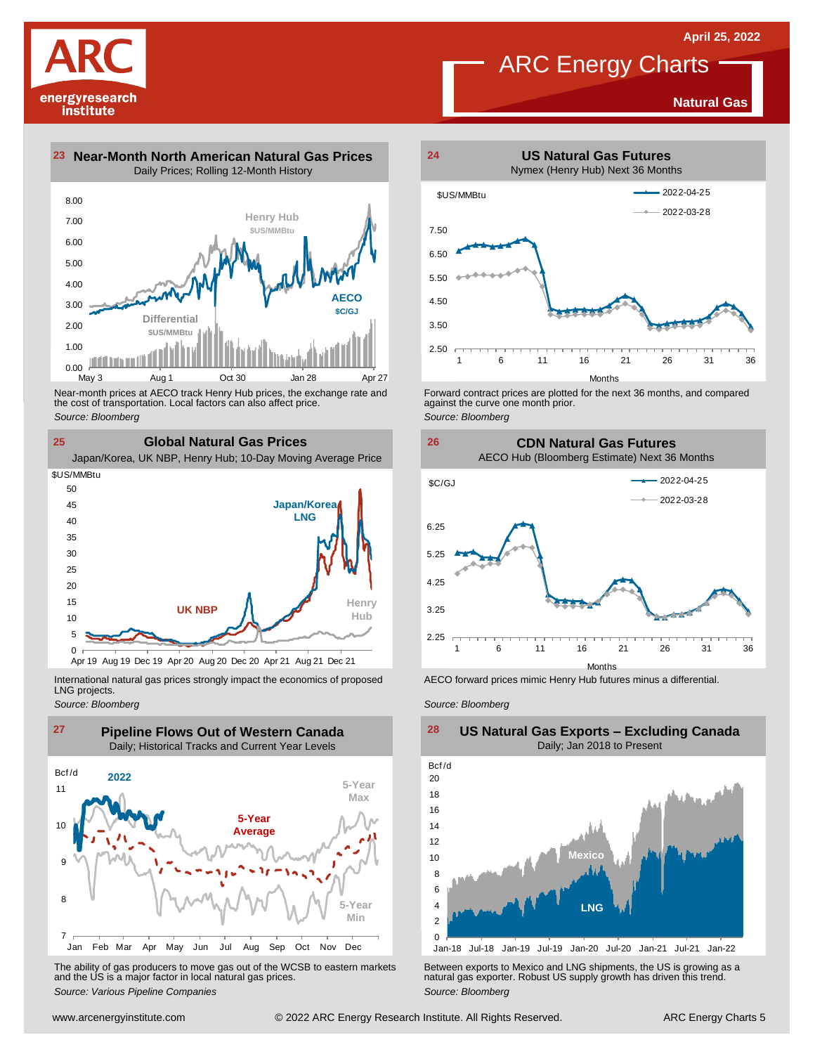**Natural Gas**

## ARC Energy Charts

![](_page_4_Picture_2.jpeg)

**23 Near-Month North American Natural Gas Prices 24** Daily Prices; Rolling 12-Month History

![](_page_4_Figure_4.jpeg)

Near-month prices at AECO track Henry Hub prices, the exchange rate and<br>the cost of transportation. Local factors can also affect price.<br>Source: Bloomberg<br>**25 Global Natural Gas Prices**<br>Japan/Korea, UK NBP, Henry Hub; 10-D the cost of transportation. Local factors can also affect price. *Source: Bloomberg*

**25 Global Natural Gas Prices**

![](_page_4_Figure_9.jpeg)

International natural gas prices strongly impact the economics of proposed LNG projects.

*Source: Bloomberg*

![](_page_4_Figure_12.jpeg)

The ability of gas producers to move gas out of the WCSB to eastern markets Between exports to Mexico and LNG shipments, the US is growing as a<br>and the US is a major factor in local natural gas prices.<br>Source: Bloomberg Va

![](_page_4_Figure_14.jpeg)

Forward contract prices are plotted for the next <sup>36</sup> months, and compared against the curve one month prior. *Source: Bloomberg*

#### **26 CDN Natural Gas Futures** AECO Hub (Bloomberg Estimate) Next 36 Months

![](_page_4_Figure_17.jpeg)

AECO forward prices mimic Henry Hub futures minus a differential.

*Source: Bloomberg*

![](_page_4_Figure_20.jpeg)

### **US Natural Gas Exports – Excluding Canada** Daily; Jan 2018 to Present  $\frac{28}{\text{Bcf/d}}$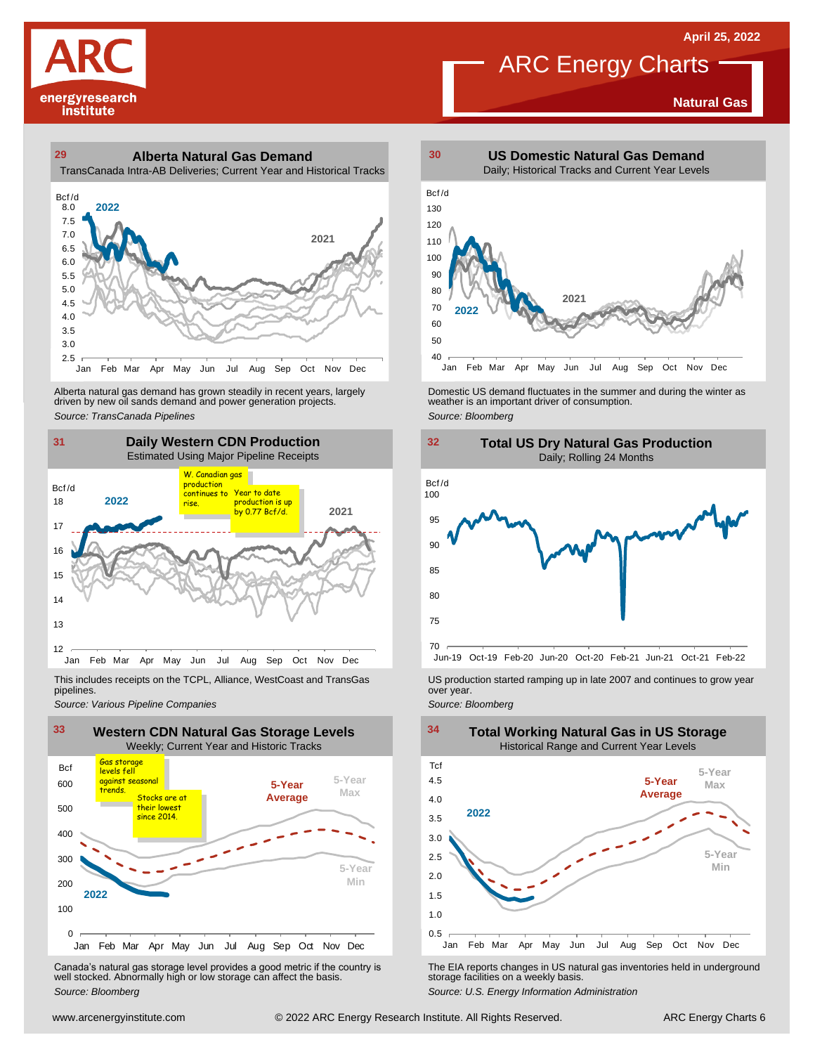**Natural Gas**

# energyresearch institute

## **29 30 Alberta Natural Gas Demand** TransCanada Intra-AB Deliveries; Current Year and Historical Tracks

![](_page_5_Figure_3.jpeg)

Alberta natural gas demand has grown steadily in recent years, largely<br>
driven by new oil sands demand and power generation projects.<br>
Source: *Bloomberg*<br>
Source: *Bloomberg*<br>
Daily Western CDN Production<br>
Estimated Using

![](_page_5_Figure_5.jpeg)

pipelines.

![](_page_5_Figure_8.jpeg)

WE Canada's natural gas storage level provides a good metric if the country is<br>
Canada's natural gas storage level provides a good metric if the country is<br>
Well stocked. Abnormally high or low storage can affect the basi Canada's natural gas storage level provides <sup>a</sup> good metric if the country is well stocked. Abnormally high or low storage can affect the basis. *Source: Bloomberg*

![](_page_5_Figure_10.jpeg)

**ARC** Energy Charts

Alberta natural gas demand has grown steadily in recent years, largely **Domestic US demand fluctuates in the summer** and during the winter as driven by new oil sands demand and power generation projects.<br>Ariven by new oil

![](_page_5_Figure_12.jpeg)

![](_page_5_Figure_13.jpeg)

This includes receipts on the TCPL, Alliance, WestCoast and TransGas US production started ramping up in late 2007 and continues to grow year<br>pipelines.<br>Source: Various Pipeline Companies strates

![](_page_5_Figure_16.jpeg)

The EIA reports changes in US natural gas inventories held in underground storage facilities on <sup>a</sup> weekly basis.

*Source: U.S. Energy Information Administration*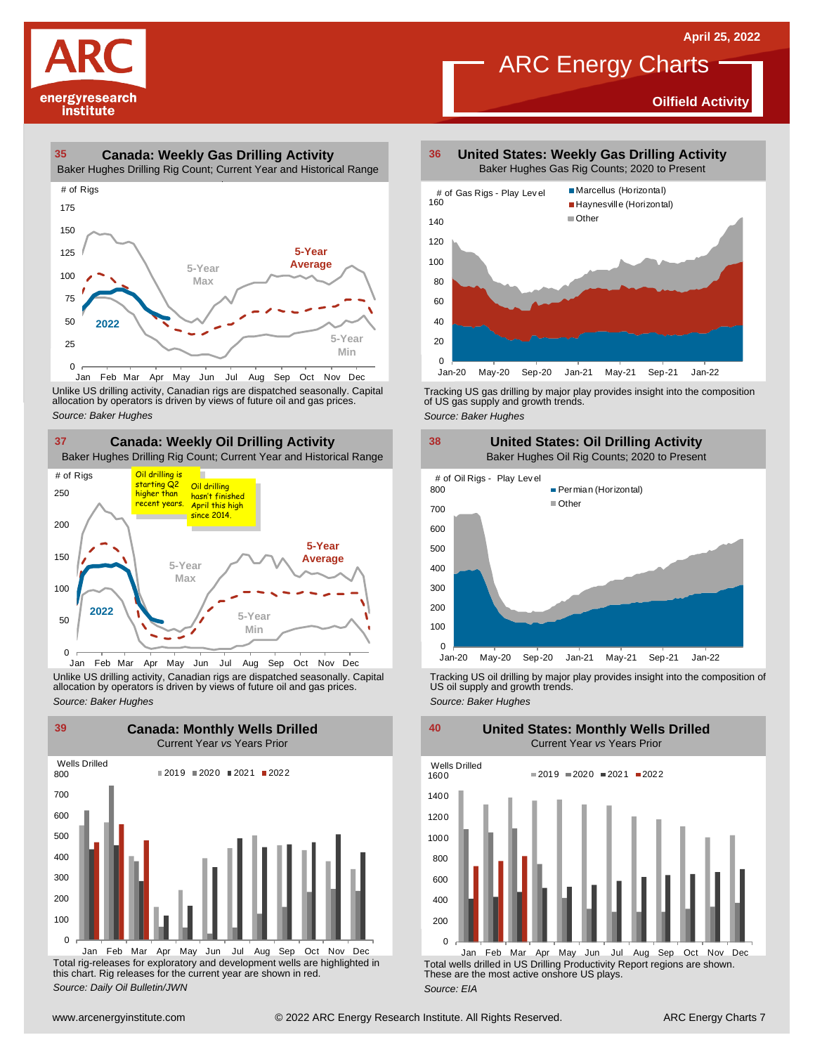**Oilfield Activity**

![](_page_6_Picture_1.jpeg)

## **35 36 Canada: Weekly Gas Drilling Activity**

Baker Hughes Drilling Rig Count; Current Year and Historical Range

![](_page_6_Figure_4.jpeg)

Unlike US drilling activity, Canadian rigs are dispatched seasonally. Capital<br>allocation by operators is driven by views of future oil and gas prices. 0<br>Jan Feb Mar<br>Unlike US drilling activi<br>allocation by operators<br>Source: Baker Hughes

![](_page_6_Figure_6.jpeg)

Unlike US drilling activity, Canadian rigs are dispatched seasonally. Capital Tracking US oil drilling by major play provides insight into the composition of<br>allocation by operators is driven by views of future oil and gas

![](_page_6_Figure_8.jpeg)

Total rig-releases for exploratory and development wells are highlighted in this chart. Rig releases for the current year are shown in red. *Source: Daily Oil Bulletin/JWN* Jan Feb Mar Apr May Jun Jul Aug Sep Oct Nov Dec

**United States: Weekly Gas Drilling Activity** Baker Hughes Gas Rig Counts; 2020 to Present

**ARC Energy Charts** 

![](_page_6_Figure_11.jpeg)

Tracking US gas drilling by major play provides insight into the composition of US gas supply and growth trends.

*Source: Baker Hughes*

![](_page_6_Figure_14.jpeg)

Tracking US oil drilling by major play provides insight into the composition of US oil supply and growth trends. *Source: Baker Hughes*

**United States: Monthly Wells Drilled**

0 200 400 600 800 1000 1200 1400 1600 Wells Drilled  $2019 = 2020 = 2021 = 2022$ 

Total wells drilled in US Drilling Productivity Report regions are shown. These are the most active onshore US plays. *Source: EIA* Jan Feb Mar Apr May Jun Jul Aug Sep Oct Nov Dec